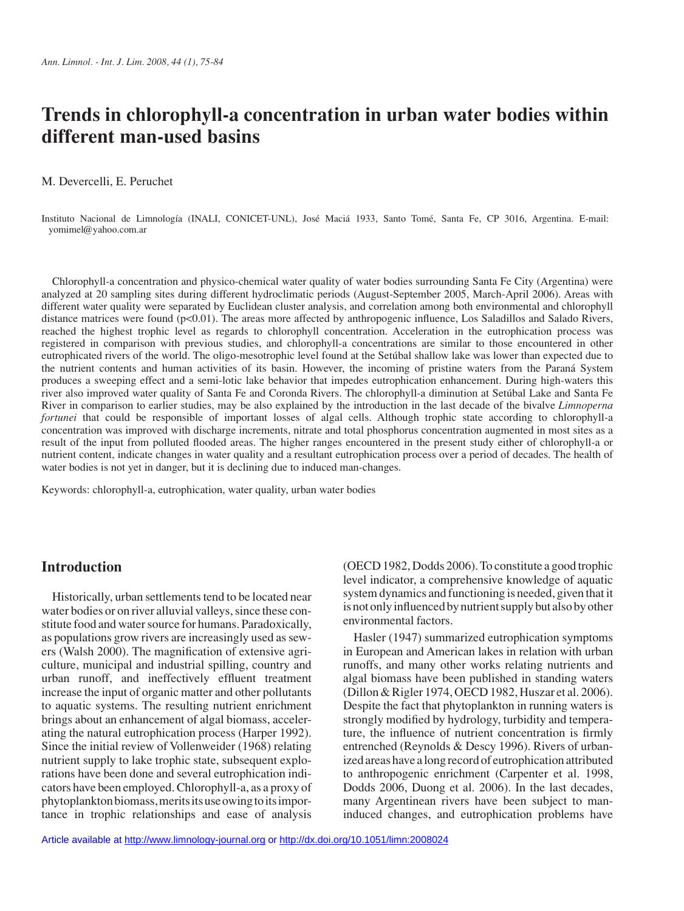# **Trends in chlorophyll-a concentration in urban water bodies within different man-used basins**

M. Devercelli, E. Peruchet

Instituto Nacional de Limnología (INALI, CONICET-UNL), José Maciá 1933, Santo Tomé, Santa Fe, CP 3016, Argentina. E-mail: yomimel@yahoo.com.ar

Chlorophyll-a concentration and physico-chemical water quality of water bodies surrounding Santa Fe City (Argentina) were analyzed at 20 sampling sites during different hydroclimatic periods (August-September 2005, March-April 2006). Areas with different water quality were separated by Euclidean cluster analysis, and correlation among both environmental and chlorophyll distance matrices were found  $(p<0.01)$ . The areas more affected by anthropogenic influence, Los Saladillos and Salado Rivers, reached the highest trophic level as regards to chlorophyll concentration. Acceleration in the eutrophication process was registered in comparison with previous studies, and chlorophyll-a concentrations are similar to those encountered in other eutrophicated rivers of the world. The oligo-mesotrophic level found at the Setúbal shallow lake was lower than expected due to the nutrient contents and human activities of its basin. However, the incoming of pristine waters from the Paraná System produces a sweeping effect and a semi-lotic lake behavior that impedes eutrophication enhancement. During high-waters this river also improved water quality of Santa Fe and Coronda Rivers. The chlorophyll-a diminution at Setúbal Lake and Santa Fe River in comparison to earlier studies, may be also explained by the introduction in the last decade of the bivalve *Limnoperna fortunei* that could be responsible of important losses of algal cells. Although trophic state according to chlorophyll-a concentration was improved with discharge increments, nitrate and total phosphorus concentration augmented in most sites as a result of the input from polluted flooded areas. The higher ranges encountered in the present study either of chlorophyll-a or nutrient content, indicate changes in water quality and a resultant eutrophication process over a period of decades. The health of water bodies is not yet in danger, but it is declining due to induced man-changes.

Keywords: chlorophyll-a, eutrophication, water quality, urban water bodies

# **Introduction**

Historically, urban settlements tend to be located near water bodies or on river alluvial valleys, since these constitute food and water source for humans. Paradoxically, as populations grow rivers are increasingly used as sewers (Walsh 2000). The magnification of extensive agriculture, municipal and industrial spilling, country and urban runoff, and ineffectively effluent treatment increase the input of organic matter and other pollutants to aquatic systems. The resulting nutrient enrichment brings about an enhancement of algal biomass, accelerating the natural eutrophication process (Harper 1992). Since the initial review of Vollenweider (1968) relating nutrient supply to lake trophic state, subsequent explorations have been done and several eutrophication indicators have been employed. Chlorophyll-a, as a proxy of phytoplankton biomass, merits its use owing to its importance in trophic relationships and ease of analysis

(OECD 1982, Dodds 2006). To constitute a good trophic level indicator, a comprehensive knowledge of aquatic system dynamics and functioning is needed, given that it is not only influenced by nutrient supply but also by other environmental factors.

Hasler (1947) summarized eutrophication symptoms in European and American lakes in relation with urban runoffs, and many other works relating nutrients and algal biomass have been published in standing waters (Dillon & Rigler 1974, OECD 1982, Huszar et al. 2006). Despite the fact that phytoplankton in running waters is strongly modified by hydrology, turbidity and temperature, the influence of nutrient concentration is firmly entrenched (Reynolds & Descy 1996). Rivers of urbanized areas have a long record of eutrophication attributed to anthropogenic enrichment (Carpenter et al. 1998, Dodds 2006, Duong et al. 2006). In the last decades, many Argentinean rivers have been subject to maninduced changes, and eutrophication problems have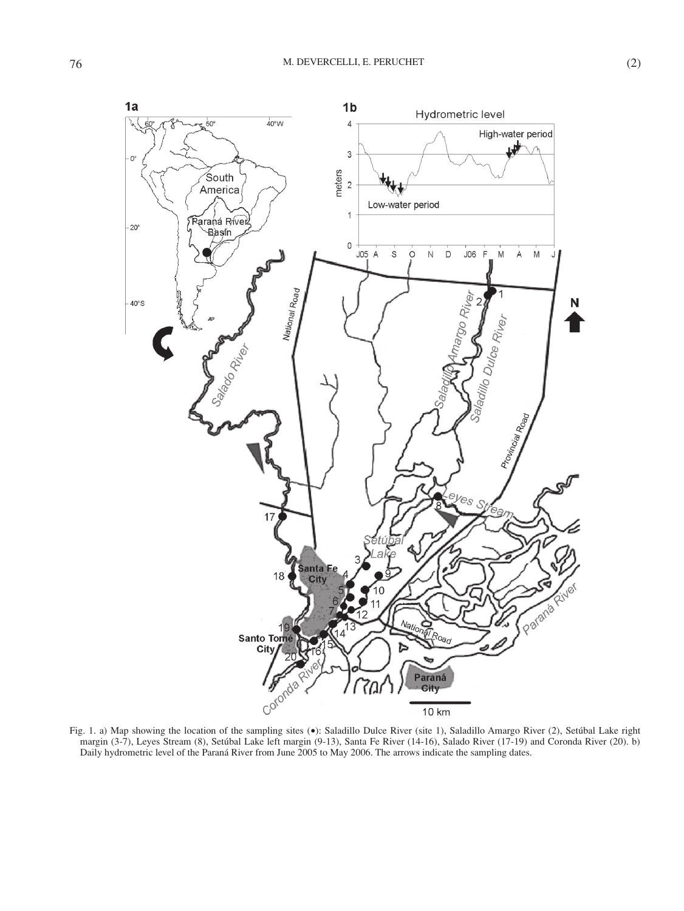

Fig. 1. a) Map showing the location of the sampling sites (•): Saladillo Dulce River (site 1), Saladillo Amargo River (2), Setúbal Lake right margin (3-7), Leyes Stream (8), Setúbal Lake left margin (9-13), Santa Fe River (14-16), Salado River (17-19) and Coronda River (20). b) Daily hydrometric level of the Paraná River from June 2005 to May 2006. The arrows indicate the sampling dates.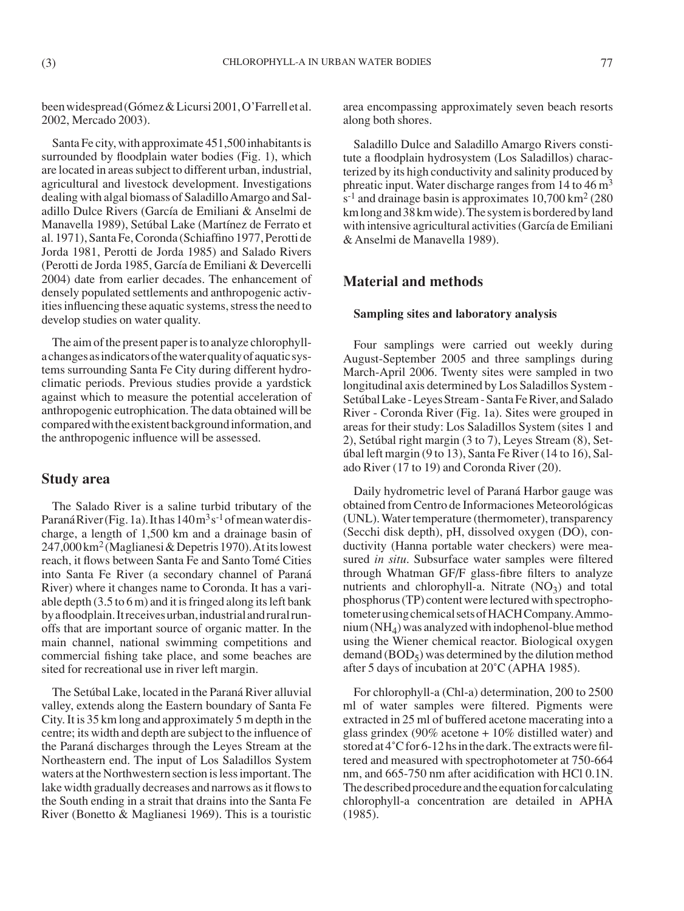been widespread (Gómez & Licursi 2001, O'Farrell et al. 2002, Mercado 2003).

Santa Fe city, with approximate 451,500 inhabitants is surrounded by floodplain water bodies (Fig. 1), which are located in areas subject to different urban, industrial, agricultural and livestock development. Investigations dealing with algal biomass of Saladillo Amargo and Saladillo Dulce Rivers (García de Emiliani & Anselmi de Manavella 1989), Setúbal Lake (Martínez de Ferrato et al. 1971), Santa Fe, Coronda (Schiaffino 1977, Perotti de Jorda 1981, Perotti de Jorda 1985) and Salado Rivers (Perotti de Jorda 1985, García de Emiliani & Devercelli 2004) date from earlier decades. The enhancement of densely populated settlements and anthropogenic activities influencing these aquatic systems, stress the need to develop studies on water quality.

The aim of the present paper is to analyze chlorophylla changes as indicators of the water quality of aquatic systems surrounding Santa Fe City during different hydroclimatic periods. Previous studies provide a yardstick against which to measure the potential acceleration of anthropogenic eutrophication. The data obtained will be compared with the existent background information, and the anthropogenic influence will be assessed.

# **Study area**

The Salado River is a saline turbid tributary of the Paraná River (Fig. 1a). It has  $140 \text{ m}^3\text{s}^{-1}$  of mean water discharge, a length of 1,500 km and a drainage basin of 247,000 km2 (Maglianesi & Depetris 1970). At its lowest reach, it flows between Santa Fe and Santo Tomé Cities into Santa Fe River (a secondary channel of Paraná River) where it changes name to Coronda. It has a variable depth (3.5 to 6 m) and it is fringed along its left bank by a floodplain. It receives urban, industrial and rural runoffs that are important source of organic matter. In the main channel, national swimming competitions and commercial fishing take place, and some beaches are sited for recreational use in river left margin.

The Setúbal Lake, located in the Paraná River alluvial valley, extends along the Eastern boundary of Santa Fe City. It is 35 km long and approximately 5 m depth in the centre; its width and depth are subject to the influence of the Paraná discharges through the Leyes Stream at the Northeastern end. The input of Los Saladillos System waters at the Northwestern section is less important. The lake width gradually decreases and narrows as it flows to the South ending in a strait that drains into the Santa Fe River (Bonetto & Maglianesi 1969). This is a touristic

area encompassing approximately seven beach resorts along both shores.

Saladillo Dulce and Saladillo Amargo Rivers constitute a floodplain hydrosystem (Los Saladillos) characterized by its high conductivity and salinity produced by phreatic input. Water discharge ranges from 14 to 46 m3  $s^{-1}$  and drainage basin is approximates 10,700 km<sup>2</sup> (280) km long and 38 km wide). The system is bordered by land with intensive agricultural activities (García de Emiliani & Anselmi de Manavella 1989).

## **Material and methods**

### **Sampling sites and laboratory analysis**

Four samplings were carried out weekly during August-September 2005 and three samplings during March-April 2006. Twenty sites were sampled in two longitudinal axis determined by Los Saladillos System - Setúbal Lake - Leyes Stream - Santa Fe River, and Salado River - Coronda River (Fig. 1a). Sites were grouped in areas for their study: Los Saladillos System (sites 1 and 2), Setúbal right margin (3 to 7), Leyes Stream (8), Setúbal left margin (9 to 13), Santa Fe River (14 to 16), Salado River (17 to 19) and Coronda River (20).

Daily hydrometric level of Paraná Harbor gauge was obtained from Centro de Informaciones Meteorológicas (UNL). Water temperature (thermometer), transparency (Secchi disk depth), pH, dissolved oxygen (DO), conductivity (Hanna portable water checkers) were measured *in situ*. Subsurface water samples were filtered through Whatman GF/F glass-fibre filters to analyze nutrients and chlorophyll-a. Nitrate  $(NO<sub>3</sub>)$  and total phosphorus (TP) content were lectured with spectrophotometer using chemical sets of HACH Company. Ammonium  $(NH_4)$  was analyzed with indophenol-blue method using the Wiener chemical reactor. Biological oxygen demand  $(BOD<sub>5</sub>)$  was determined by the dilution method after 5 days of incubation at 20˚C (APHA 1985).

For chlorophyll-a (Chl-a) determination, 200 to 2500 ml of water samples were filtered. Pigments were extracted in 25 ml of buffered acetone macerating into a glass grindex (90% acetone + 10% distilled water) and stored at 4˚C for 6-12 hs in the dark. The extracts were filtered and measured with spectrophotometer at 750-664 nm, and 665-750 nm after acidification with HCl 0.1N. The described procedure and the equation for calculating chlorophyll-a concentration are detailed in APHA (1985).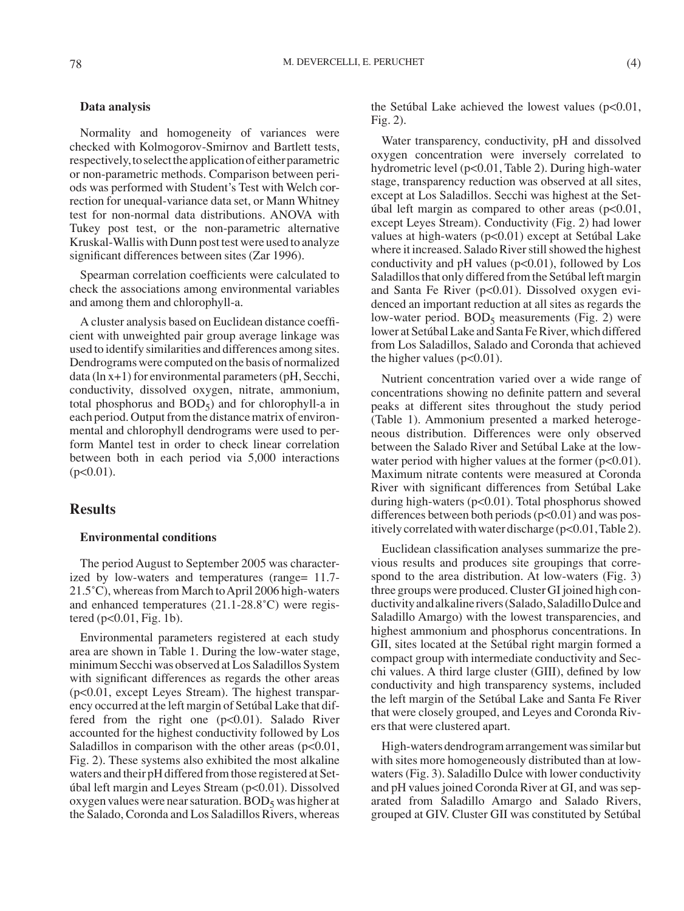### **Data analysis**

Normality and homogeneity of variances were checked with Kolmogorov-Smirnov and Bartlett tests, respectively, to select the application of either parametric or non-parametric methods. Comparison between periods was performed with Student's Test with Welch correction for unequal-variance data set, or Mann Whitney test for non-normal data distributions. ANOVA with Tukey post test, or the non-parametric alternative Kruskal-Wallis with Dunn post test were used to analyze significant differences between sites (Zar 1996).

Spearman correlation coefficients were calculated to check the associations among environmental variables and among them and chlorophyll-a.

A cluster analysis based on Euclidean distance coefficient with unweighted pair group average linkage was used to identify similarities and differences among sites. Dendrograms were computed on the basis of normalized data (ln x+1) for environmental parameters (pH, Secchi, conductivity, dissolved oxygen, nitrate, ammonium, total phosphorus and  $BOD<sub>5</sub>$ ) and for chlorophyll-a in each period. Output from the distance matrix of environmental and chlorophyll dendrograms were used to perform Mantel test in order to check linear correlation between both in each period via 5,000 interactions  $(p<0.01)$ .

## **Results**

#### **Environmental conditions**

The period August to September 2005 was characterized by low-waters and temperatures (range= 11.7- 21.5˚C), whereas from March to April 2006 high-waters and enhanced temperatures (21.1-28.8˚C) were registered ( $p<0.01$ , Fig. 1b).

Environmental parameters registered at each study area are shown in Table 1. During the low-water stage, minimum Secchi was observed at Los Saladillos System with significant differences as regards the other areas (p<0.01, except Leyes Stream). The highest transparency occurred at the left margin of Setúbal Lake that differed from the right one (p<0.01). Salado River accounted for the highest conductivity followed by Los Saladillos in comparison with the other areas  $(p<0.01$ , Fig. 2). These systems also exhibited the most alkaline waters and their pH differed from those registered at Setúbal left margin and Leyes Stream (p<0.01). Dissolved oxygen values were near saturation.  $BOD<sub>5</sub>$  was higher at the Salado, Coronda and Los Saladillos Rivers, whereas

the Setúbal Lake achieved the lowest values  $(p<0.01,$ Fig. 2).

Water transparency, conductivity, pH and dissolved oxygen concentration were inversely correlated to hydrometric level (p<0.01, Table 2). During high-water stage, transparency reduction was observed at all sites, except at Los Saladillos. Secchi was highest at the Setúbal left margin as compared to other areas  $(p<0.01$ , except Leyes Stream). Conductivity (Fig. 2) had lower values at high-waters (p<0.01) except at Setúbal Lake where it increased. Salado River still showed the highest conductivity and  $pH$  values ( $p<0.01$ ), followed by Los Saladillos that only differed from the Setúbal left margin and Santa Fe River (p<0.01). Dissolved oxygen evidenced an important reduction at all sites as regards the low-water period.  $BOD<sub>5</sub>$  measurements (Fig. 2) were lower at Setúbal Lake and Santa Fe River, which differed from Los Saladillos, Salado and Coronda that achieved the higher values ( $p<0.01$ ).

Nutrient concentration varied over a wide range of concentrations showing no definite pattern and several peaks at different sites throughout the study period (Table 1). Ammonium presented a marked heterogeneous distribution. Differences were only observed between the Salado River and Setúbal Lake at the lowwater period with higher values at the former  $(p<0.01)$ . Maximum nitrate contents were measured at Coronda River with significant differences from Setúbal Lake during high-waters (p<0.01). Total phosphorus showed differences between both periods  $(p<0.01)$  and was positively correlated with water discharge (p<0.01, Table 2).

Euclidean classification analyses summarize the previous results and produces site groupings that correspond to the area distribution. At low-waters (Fig. 3) three groups were produced. Cluster GI joined high conductivity and alkaline rivers (Salado, Saladillo Dulce and Saladillo Amargo) with the lowest transparencies, and highest ammonium and phosphorus concentrations. In GII, sites located at the Setúbal right margin formed a compact group with intermediate conductivity and Secchi values. A third large cluster (GIII), defined by low conductivity and high transparency systems, included the left margin of the Setúbal Lake and Santa Fe River that were closely grouped, and Leyes and Coronda Rivers that were clustered apart.

High-waters dendrogram arrangement was similar but with sites more homogeneously distributed than at lowwaters (Fig. 3). Saladillo Dulce with lower conductivity and pH values joined Coronda River at GI, and was separated from Saladillo Amargo and Salado Rivers, grouped at GIV. Cluster GII was constituted by Setúbal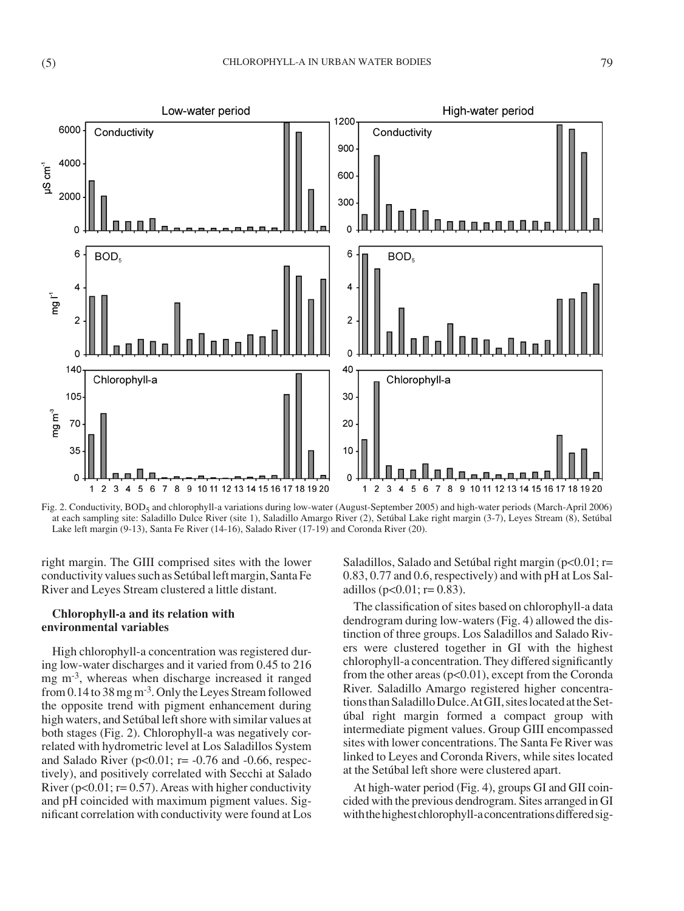

Fig. 2. Conductivity, BOD<sub>5</sub> and chlorophyll-a variations during low-water (August-September 2005) and high-water periods (March-April 2006) at each sampling site: Saladillo Dulce River (site 1), Saladillo Amargo River (2), Setúbal Lake right margin (3-7), Leyes Stream (8), Setúbal Lake left margin (9-13), Santa Fe River (14-16), Salado River (17-19) and Coronda River (20).

right margin. The GIII comprised sites with the lower conductivity values such as Setúbal left margin, Santa Fe River and Leyes Stream clustered a little distant.

## **Chlorophyll-a and its relation with environmental variables**

High chlorophyll-a concentration was registered during low-water discharges and it varied from 0.45 to 216 mg m<sup>-3</sup>, whereas when discharge increased it ranged from 0.14 to 38 mg m-3. Only the Leyes Stream followed the opposite trend with pigment enhancement during high waters, and Setúbal left shore with similar values at both stages (Fig. 2). Chlorophyll-a was negatively correlated with hydrometric level at Los Saladillos System and Salado River ( $p<0.01$ ;  $r=-0.76$  and  $-0.66$ , respectively), and positively correlated with Secchi at Salado River ( $p<0.01$ ;  $r=0.57$ ). Areas with higher conductivity and pH coincided with maximum pigment values. Significant correlation with conductivity were found at Los

Saladillos, Salado and Setúbal right margin ( $p<0.01$ ; r= 0.83, 0.77 and 0.6, respectively) and with pH at Los Saladillos (p<0.01; r=0.83).

The classification of sites based on chlorophyll-a data dendrogram during low-waters (Fig. 4) allowed the distinction of three groups. Los Saladillos and Salado Rivers were clustered together in GI with the highest chlorophyll-a concentration. They differed significantly from the other areas  $(p<0.01)$ , except from the Coronda River. Saladillo Amargo registered higher concentrations than Saladillo Dulce. At GII, sites located at the Setúbal right margin formed a compact group with intermediate pigment values. Group GIII encompassed sites with lower concentrations. The Santa Fe River was linked to Leyes and Coronda Rivers, while sites located at the Setúbal left shore were clustered apart.

At high-water period (Fig. 4), groups GI and GII coincided with the previous dendrogram. Sites arranged in GI with the highest chlorophyll-a concentrations differed sig-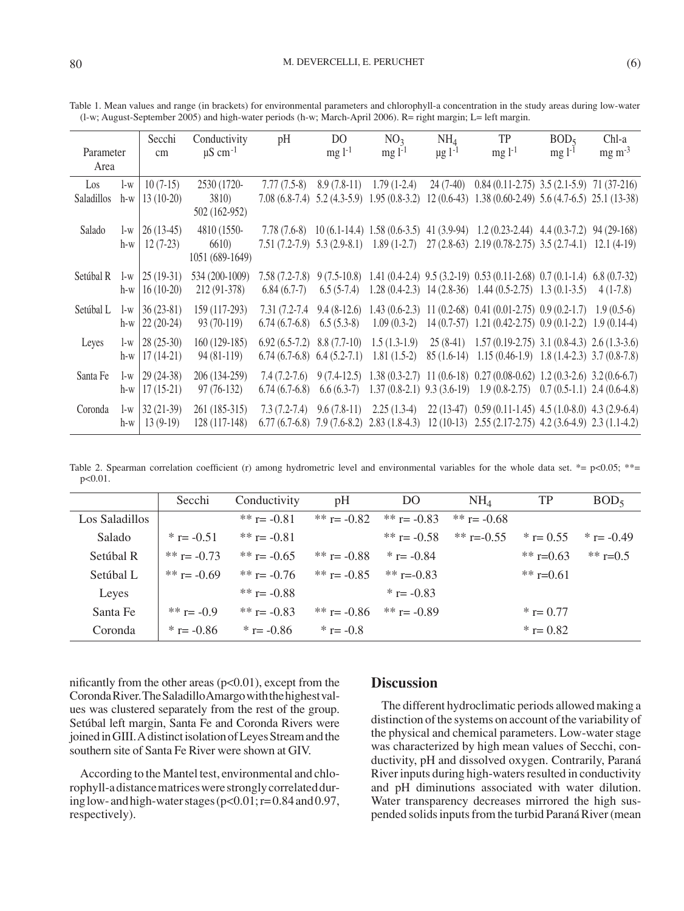|                   |       | Secchi            | Conductivity             | pH                             | D <sub>O</sub> | NO <sub>3</sub> | NH <sub>4</sub>         | TP                                                                                                         | BOD <sub>5</sub> | Chl-a          |
|-------------------|-------|-------------------|--------------------------|--------------------------------|----------------|-----------------|-------------------------|------------------------------------------------------------------------------------------------------------|------------------|----------------|
| Parameter         |       | cm                | $\mu$ S cm <sup>-1</sup> |                                | $mg l^{-1}$    | $mg l^{-1}$     | $\mu$ g l <sup>-1</sup> | $mg l^{-1}$                                                                                                | $mg1^{-1}$       | $mg \, m^{-3}$ |
| Area              |       |                   |                          |                                |                |                 |                         |                                                                                                            |                  |                |
| Los               | l-w   | $10(7-15)$        | 2530 (1720-              | $7.77(7.5-8)$                  | $8.9(7.8-11)$  | $1.79(1-2.4)$   |                         | 24 (7-40) 0.84 (0.11-2.75) 3.5 (2.1-5.9) 71 (37-216)                                                       |                  |                |
| <b>Saladillos</b> | h-w   | $13(10-20)$       | <b>3810</b> )            |                                |                |                 |                         | 7.08 (6.8-7.4) 5.2 (4.3-5.9) 1.95 (0.8-3.2) 12 (0.6-43) 1.38 (0.60-2.49) 5.6 (4.7-6.5) 25.1 (13-38)        |                  |                |
|                   |       |                   | 502 (162-952)            |                                |                |                 |                         |                                                                                                            |                  |                |
| Salado            | l-w   | $26(13-45)$       | 4810 (1550-              |                                |                |                 |                         | 7.78 (7.6-8) 10 (6.1-14.4) 1.58 (0.6-3.5) 41 (3.9-94) 1.2 (0.23-2.44) 4.4 (0.3-7.2) 94 (29-168)            |                  |                |
|                   | h-w   | $12(7-23)$        | 6610)                    |                                |                |                 |                         | 7.51 (7.2-7.9) 5.3 (2.9-8.1) 1.89 (1-2.7) 27 (2.8-63) 2.19 (0.78-2.75) 3.5 (2.7-4.1) 12.1 (4-19)           |                  |                |
|                   |       |                   | 1051 (689-1649)          |                                |                |                 |                         |                                                                                                            |                  |                |
| Setúbal R         | $1-w$ | $25(19-31)$       | 534 (200-1009)           | $7.58(7.2-7.8)$                |                |                 |                         | 9 (7.5-10.8) 1.41 (0.4-2.4) 9.5 (3.2-19) 0.53 (0.11-2.68) 0.7 (0.1-1.4) 6.8 (0.7-32)                       |                  |                |
|                   | h-w   | $16(10-20)$       | 212 (91-378)             | $6.84(6.7-7)$                  |                |                 |                         | $6.5(5-7.4)$ 1.28 $(0.4-2.3)$ 14 $(2.8-36)$ 1.44 $(0.5-2.75)$ 1.3 $(0.1-3.5)$                              |                  | $4(1-7.8)$     |
| Setúbal L         | $1-w$ | $36(23-81)$       | 159 (117-293)            | 7.31 (7.2-7.4)                 |                |                 |                         | $9.4 (8-12.6)$ 1.43 $(0.6-2.3)$ 11 $(0.2-68)$ 0.41 $(0.01-2.75)$ 0.9 $(0.2-1.7)$                           |                  | $1.9(0.5-6)$   |
|                   | h-w   | $22(20-24)$       | 93 (70-119)              | $6.74(6.7-6.8)$                | $6.5(5.3-8)$   |                 |                         | $1.09(0.3-2)$ 14 $(0.7-57)$ 1.21 $(0.42-2.75)$ 0.9 $(0.1-2.2)$ 1.9 $(0.14-4)$                              |                  |                |
| Leyes             | $1-w$ | $28(25-30)$       | $160(129-185)$           | $6.92(6.5-7.2)$ $8.8(7.7-10)$  |                |                 |                         | $1.5(1.3-1.9)$ $25(8-41)$ $1.57(0.19-2.75)$ $3.1(0.8-4.3)$ $2.6(1.3-3.6)$                                  |                  |                |
|                   | h-w   | $17(14-21)$       | 94 (81-119)              | $6.74(6.7-6.8)$ $6.4(5.2-7.1)$ |                | $1.81(1.5-2)$   |                         | $85(1.6-14)$ $1.15(0.46-1.9)$ $1.8(1.4-2.3)$ $3.7(0.8-7.8)$                                                |                  |                |
|                   |       |                   |                          |                                |                |                 |                         |                                                                                                            |                  |                |
| Santa Fe          | $l-w$ | $29(24-38)$       | 206 (134-259)            | $7.4(7.2-7.6)$                 |                |                 |                         | 9 (7.4-12.5) 1.38 (0.3-2.7) 11 (0.6-18) 0.27 (0.08-0.62) 1.2 (0.3-2.6) 3.2 (0.6-6.7)                       |                  |                |
|                   | h-w   | $17(15-21)$       | $97(76-132)$             | $6.74(6.7-6.8)$                | $6.6(6.3-7)$   |                 |                         | $1.37(0.8-2.1)$ $9.3(3.6-19)$ $1.9(0.8-2.75)$ $0.7(0.5-1.1)$ $2.4(0.6-4.8)$                                |                  |                |
| Coronda           | $1-w$ | $32(21-39)$       | 261 (185-315)            | $7.3(7.2-7.4)$                 | $9.6(7.8-11)$  |                 |                         | 2.25 (1.3-4) 22 (13-47) 0.59 (0.11-1.45) 4.5 (1.0-8.0) 4.3 (2.9-6.4)                                       |                  |                |
|                   |       | $h-w$   13 (9-19) | 128 (117-148)            |                                |                |                 |                         | $6.77(6.7-6.8)$ $7.9(7.6-8.2)$ $2.83(1.8-4.3)$ $12(10-13)$ $2.55(2.17-2.75)$ $4.2(3.6-4.9)$ $2.3(1.1-4.2)$ |                  |                |

Table 1. Mean values and range (in brackets) for environmental parameters and chlorophyll-a concentration in the study areas during low-water (l-w; August-September 2005) and high-water periods (h-w; March-April 2006). R= right margin; L= left margin.

Table 2. Spearman correlation coefficient (r) among hydrometric level and environmental variables for the whole data set. \*=  $p<0.05$ ; \*\*= p<0.01.

|                | Secchi         | Conductivity   | pH             | DO             | NH <sub>4</sub> | TP           | BOD <sub>5</sub> |
|----------------|----------------|----------------|----------------|----------------|-----------------|--------------|------------------|
| Los Saladillos |                | ** $r = -0.81$ | ** $r = -0.82$ | ** r= -0.83    | ** $r = -0.68$  |              |                  |
| Salado         | $*$ r= -0.51   | ** $r = -0.81$ |                | ** r= $-0.58$  | ** r=-0.55      | * $r = 0.55$ | * $r = -0.49$    |
| Setúbal R      | ** r= $-0.73$  | ** r= $-0.65$  | ** r= -0.88    | * $r = -0.84$  |                 | ** $r=0.63$  | ** $r=0.5$       |
| Setúbal L      | ** $r = -0.69$ | ** r= -0.76    | ** r= $-0.85$  | ** r=-0.83     |                 | ** $r=0.61$  |                  |
| Leves          |                | ** $r = -0.88$ |                | * $r = -0.83$  |                 |              |                  |
| Santa Fe       | ** $r = -0.9$  | ** $r = -0.83$ | ** r= $-0.86$  | ** $r = -0.89$ |                 | * $r = 0.77$ |                  |
| Coronda        | $*$ r= -0.86   | * $r = -0.86$  | * $r = -0.8$   |                |                 | * $r = 0.82$ |                  |

nificantly from the other areas  $(p<0.01)$ , except from the Coronda River. The Saladillo Amargo with the highest values was clustered separately from the rest of the group. Setúbal left margin, Santa Fe and Coronda Rivers were joined in GIII. A distinct isolation of Leyes Stream and the southern site of Santa Fe River were shown at GIV.

According to the Mantel test, environmental and chlorophyll-a distance matrices were strongly correlated during low- and high-water stages ( $p<0.01$ ;  $r=0.84$  and 0.97, respectively).

# **Discussion**

128 (117-148) 6.77 (6.7-6.8) 7.9 (7.6-8.2) 2.83 (1.8-4.3) 12 (10-13) 2.55 (2.17-2.75) 4.2 (3.6-4.9) 2.3 (1.1-4.2)

The different hydroclimatic periods allowed making a distinction of the systems on account of the variability of the physical and chemical parameters. Low-water stage was characterized by high mean values of Secchi, conductivity, pH and dissolved oxygen. Contrarily, Paraná River inputs during high-waters resulted in conductivity and pH diminutions associated with water dilution. Water transparency decreases mirrored the high suspended solids inputs from the turbid Paraná River (mean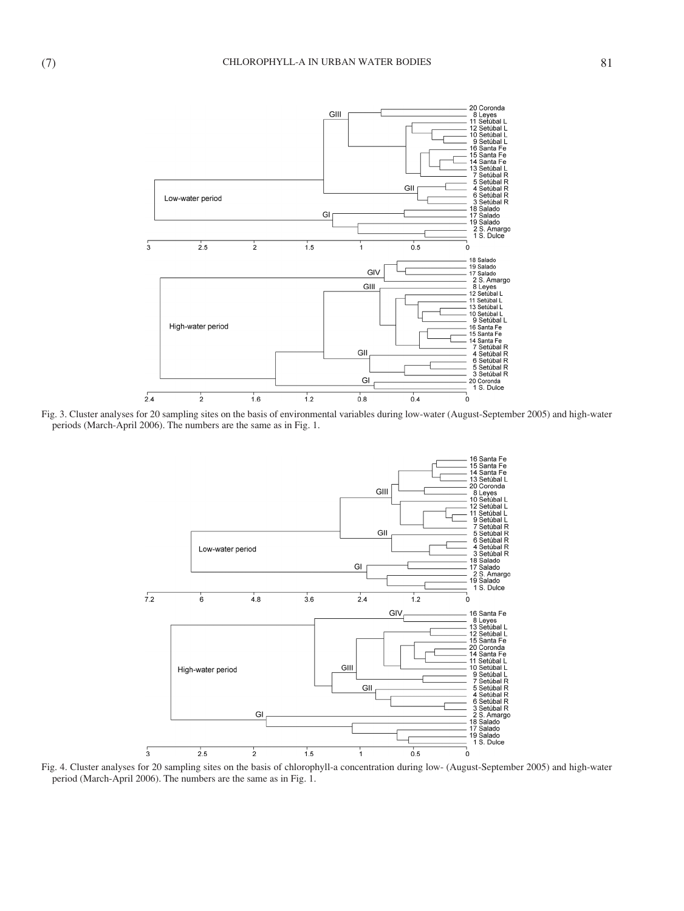

Fig. 3. Cluster analyses for 20 sampling sites on the basis of environmental variables during low-water (August-September 2005) and high-water periods (March-April 2006). The numbers are the same as in Fig. 1.



Fig. 4. Cluster analyses for 20 sampling sites on the basis of chlorophyll-a concentration during low- (August-September 2005) and high-water period (March-April 2006). The numbers are the same as in Fig. 1.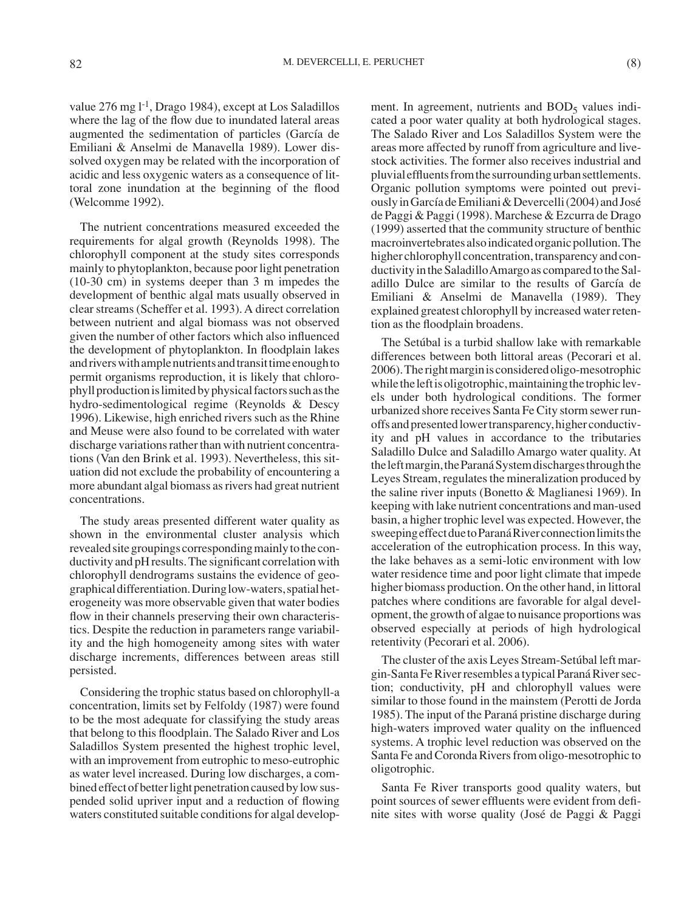value  $276$  mg l<sup>-1</sup>, Drago 1984), except at Los Saladillos where the lag of the flow due to inundated lateral areas augmented the sedimentation of particles (García de Emiliani & Anselmi de Manavella 1989). Lower dissolved oxygen may be related with the incorporation of acidic and less oxygenic waters as a consequence of littoral zone inundation at the beginning of the flood (Welcomme 1992).

The nutrient concentrations measured exceeded the requirements for algal growth (Reynolds 1998). The chlorophyll component at the study sites corresponds mainly to phytoplankton, because poor light penetration (10-30 cm) in systems deeper than 3 m impedes the development of benthic algal mats usually observed in clear streams (Scheffer et al. 1993). A direct correlation between nutrient and algal biomass was not observed given the number of other factors which also influenced the development of phytoplankton. In floodplain lakes and rivers with ample nutrients and transit time enough to permit organisms reproduction, it is likely that chlorophyll production is limited by physical factors such as the hydro-sedimentological regime (Reynolds & Descy 1996). Likewise, high enriched rivers such as the Rhine and Meuse were also found to be correlated with water discharge variations rather than with nutrient concentrations (Van den Brink et al. 1993). Nevertheless, this situation did not exclude the probability of encountering a more abundant algal biomass as rivers had great nutrient concentrations.

The study areas presented different water quality as shown in the environmental cluster analysis which revealed site groupings corresponding mainly to the conductivity and pH results. The significant correlation with chlorophyll dendrograms sustains the evidence of geographical differentiation. During low-waters, spatial heterogeneity was more observable given that water bodies flow in their channels preserving their own characteristics. Despite the reduction in parameters range variability and the high homogeneity among sites with water discharge increments, differences between areas still persisted.

Considering the trophic status based on chlorophyll-a concentration, limits set by Felfoldy (1987) were found to be the most adequate for classifying the study areas that belong to this floodplain. The Salado River and Los Saladillos System presented the highest trophic level, with an improvement from eutrophic to meso-eutrophic as water level increased. During low discharges, a combined effect of better light penetration caused by low suspended solid upriver input and a reduction of flowing waters constituted suitable conditions for algal development. In agreement, nutrients and  $BOD<sub>5</sub>$  values indicated a poor water quality at both hydrological stages. The Salado River and Los Saladillos System were the areas more affected by runoff from agriculture and livestock activities. The former also receives industrial and pluvial effluents from the surrounding urban settlements. Organic pollution symptoms were pointed out previously in García de Emiliani & Devercelli (2004) and José de Paggi & Paggi (1998). Marchese & Ezcurra de Drago (1999) asserted that the community structure of benthic macroinvertebrates also indicated organic pollution. The higher chlorophyll concentration, transparency and conductivity in the Saladillo Amargo as compared to the Saladillo Dulce are similar to the results of García de Emiliani & Anselmi de Manavella (1989). They explained greatest chlorophyll by increased water retention as the floodplain broadens.

The Setúbal is a turbid shallow lake with remarkable differences between both littoral areas (Pecorari et al. 2006). The right margin is considered oligo-mesotrophic while the left is oligotrophic, maintaining the trophic levels under both hydrological conditions. The former urbanized shore receives Santa Fe City storm sewer runoffs and presented lower transparency, higher conductivity and pH values in accordance to the tributaries Saladillo Dulce and Saladillo Amargo water quality. At the left margin, the Paraná System discharges through the Leyes Stream, regulates the mineralization produced by the saline river inputs (Bonetto & Maglianesi 1969). In keeping with lake nutrient concentrations and man-used basin, a higher trophic level was expected. However, the sweeping effect due to Paraná River connection limits the acceleration of the eutrophication process. In this way, the lake behaves as a semi-lotic environment with low water residence time and poor light climate that impede higher biomass production. On the other hand, in littoral patches where conditions are favorable for algal development, the growth of algae to nuisance proportions was observed especially at periods of high hydrological retentivity (Pecorari et al. 2006).

The cluster of the axis Leyes Stream-Setúbal left margin-Santa Fe River resembles a typical Paraná River section; conductivity, pH and chlorophyll values were similar to those found in the mainstem (Perotti de Jorda 1985). The input of the Paraná pristine discharge during high-waters improved water quality on the influenced systems. A trophic level reduction was observed on the Santa Fe and Coronda Rivers from oligo-mesotrophic to oligotrophic.

Santa Fe River transports good quality waters, but point sources of sewer effluents were evident from definite sites with worse quality (José de Paggi & Paggi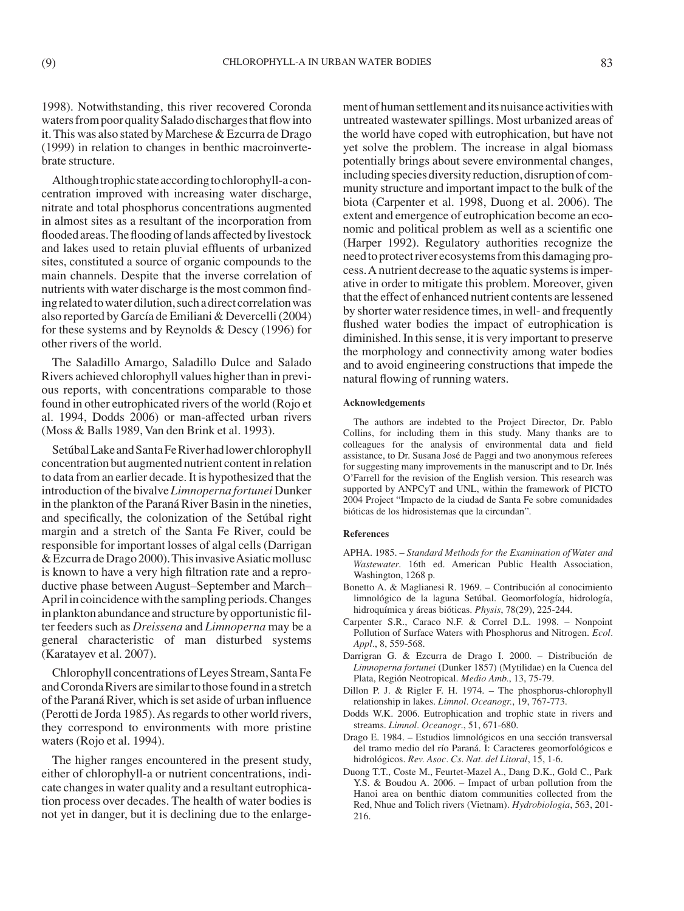1998). Notwithstanding, this river recovered Coronda waters from poor quality Salado discharges that flow into it. This was also stated by Marchese & Ezcurra de Drago (1999) in relation to changes in benthic macroinvertebrate structure.

Although trophic state according to chlorophyll-a concentration improved with increasing water discharge, nitrate and total phosphorus concentrations augmented in almost sites as a resultant of the incorporation from flooded areas. The flooding of lands affected by livestock and lakes used to retain pluvial effluents of urbanized sites, constituted a source of organic compounds to the main channels. Despite that the inverse correlation of nutrients with water discharge is the most common finding related to water dilution, such a direct correlation was also reported by García de Emiliani & Devercelli (2004) for these systems and by Reynolds & Descy (1996) for other rivers of the world.

The Saladillo Amargo, Saladillo Dulce and Salado Rivers achieved chlorophyll values higher than in previous reports, with concentrations comparable to those found in other eutrophicated rivers of the world (Rojo et al. 1994, Dodds 2006) or man-affected urban rivers (Moss & Balls 1989, Van den Brink et al. 1993).

Setúbal Lake and Santa Fe River had lower chlorophyll concentration but augmented nutrient content in relation to data from an earlier decade. It is hypothesized that the introduction of the bivalve *Limnoperna fortunei* Dunker in the plankton of the Paraná River Basin in the nineties, and specifically, the colonization of the Setúbal right margin and a stretch of the Santa Fe River, could be responsible for important losses of algal cells (Darrigan & Ezcurra de Drago 2000). This invasive Asiatic mollusc is known to have a very high filtration rate and a reproductive phase between August–September and March– April in coincidence with the sampling periods. Changes in plankton abundance and structure by opportunistic filter feeders such as *Dreissena* and *Limnoperna* may be a general characteristic of man disturbed systems (Karatayev et al. 2007).

Chlorophyll concentrations of Leyes Stream, Santa Fe and Coronda Rivers are similar to those found in a stretch of the Paraná River, which is set aside of urban influence (Perotti de Jorda 1985). As regards to other world rivers, they correspond to environments with more pristine waters (Rojo et al. 1994).

The higher ranges encountered in the present study, either of chlorophyll-a or nutrient concentrations, indicate changes in water quality and a resultant eutrophication process over decades. The health of water bodies is not yet in danger, but it is declining due to the enlargement of human settlement and its nuisance activities with untreated wastewater spillings. Most urbanized areas of the world have coped with eutrophication, but have not yet solve the problem. The increase in algal biomass potentially brings about severe environmental changes, including species diversity reduction, disruption of community structure and important impact to the bulk of the biota (Carpenter et al. 1998, Duong et al. 2006). The extent and emergence of eutrophication become an economic and political problem as well as a scientific one (Harper 1992). Regulatory authorities recognize the need to protect river ecosystems from this damaging process. A nutrient decrease to the aquatic systems is imperative in order to mitigate this problem. Moreover, given that the effect of enhanced nutrient contents are lessened by shorter water residence times, in well- and frequently flushed water bodies the impact of eutrophication is diminished. In this sense, it is very important to preserve the morphology and connectivity among water bodies and to avoid engineering constructions that impede the natural flowing of running waters.

#### **Acknowledgements**

The authors are indebted to the Project Director, Dr. Pablo Collins, for including them in this study. Many thanks are to colleagues for the analysis of environmental data and field assistance, to Dr. Susana José de Paggi and two anonymous referees for suggesting many improvements in the manuscript and to Dr. Inés O'Farrell for the revision of the English version. This research was supported by ANPCyT and UNL, within the framework of PICTO 2004 Project "Impacto de la ciudad de Santa Fe sobre comunidades bióticas de los hidrosistemas que la circundan".

#### **References**

- APHA. 1985. *Standard Methods for the Examination of Water and Wastewater*. 16th ed. American Public Health Association, Washington, 1268 p.
- Bonetto A. & Maglianesi R. 1969. Contribución al conocimiento limnológico de la laguna Setúbal. Geomorfología, hidrología, hidroquímica y áreas bióticas. *Physis*, 78(29), 225-244.
- Carpenter S.R., Caraco N.F. & Correl D.L. 1998. Nonpoint Pollution of Surface Waters with Phosphorus and Nitrogen. *Ecol. Appl.*, 8, 559-568.
- Darrigran G. & Ezcurra de Drago I. 2000. Distribución de *Limnoperna fortunei* (Dunker 1857) (Mytilidae) en la Cuenca del Plata, Región Neotropical. *Medio Amb.*, 13, 75-79.
- Dillon P. J. & Rigler F. H. 1974. The phosphorus-chlorophyll relationship in lakes. *Limnol. Oceanogr.*, 19, 767-773.
- Dodds W.K. 2006. Eutrophication and trophic state in rivers and streams. *Limnol. Oceanogr*., 51, 671-680.
- Drago E. 1984. Estudios limnológicos en una sección transversal del tramo medio del río Paraná. I: Caracteres geomorfológicos e hidrológicos. *Rev. Asoc. Cs. Nat. del Litoral*, 15, 1-6.
- Duong T.T., Coste M., Feurtet-Mazel A., Dang D.K., Gold C., Park Y.S. & Boudou A. 2006. – Impact of urban pollution from the Hanoi area on benthic diatom communities collected from the Red, Nhue and Tolich rivers (Vietnam). *Hydrobiologia*, 563, 201- 216.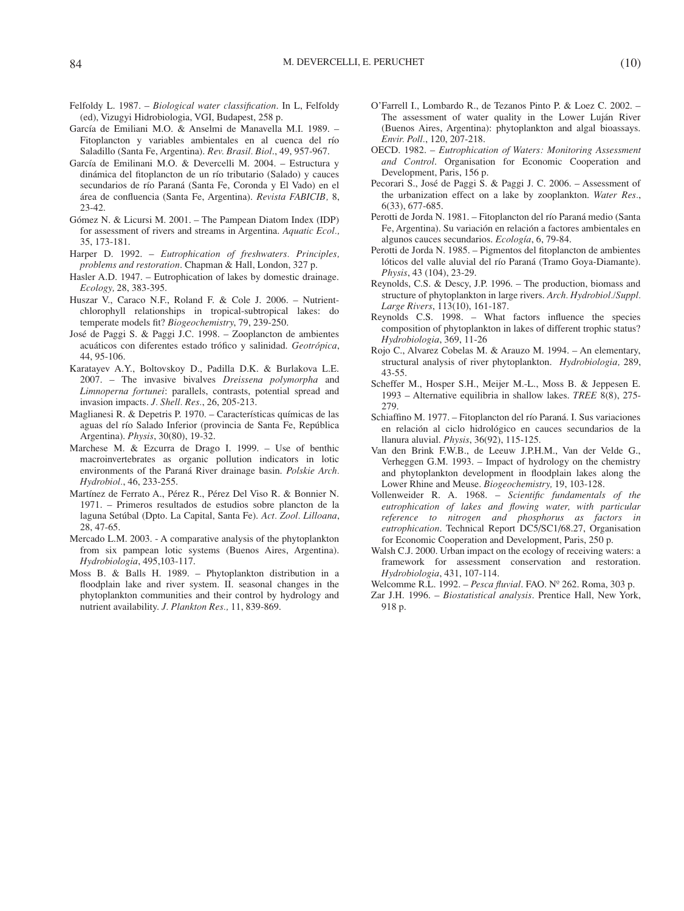- Felfoldy L. 1987. *Biological water classification*. In L, Felfoldy (ed), Vizugyi Hidrobiologia, VGI, Budapest, 258 p.
- García de Emiliani M.O. & Anselmi de Manavella M.I. 1989. Fitoplancton y variables ambientales en al cuenca del río Saladillo (Santa Fe, Argentina). *Rev. Brasil. Biol*., 49, 957-967.
- García de Emilinani M.O. & Devercelli M. 2004. Estructura y dinámica del fitoplancton de un río tributario (Salado) y cauces secundarios de río Paraná (Santa Fe, Coronda y El Vado) en el área de confluencia (Santa Fe, Argentina). *Revista FABICIB,* 8, 23-42.
- Gómez N. & Licursi M. 2001. The Pampean Diatom Index (IDP) for assessment of rivers and streams in Argentina. *Aquatic Ecol.,* 35, 173-181.
- Harper D. 1992. *Eutrophication of freshwaters. Principles, problems and restoration*. Chapman & Hall, London, 327 p.
- Hasler A.D. 1947. Eutrophication of lakes by domestic drainage. *Ecology,* 28, 383-395.
- Huszar V., Caraco N.F., Roland F. & Cole J. 2006. Nutrientchlorophyll relationships in tropical-subtropical lakes: do temperate models fit? *Biogeochemistry*, 79, 239-250.
- José de Paggi S. & Paggi J.C. 1998. Zooplancton de ambientes acuáticos con diferentes estado trófico y salinidad. *Geotrópica*, 44, 95-106.
- Karatayev A.Y., Boltovskoy D., Padilla D.K. & Burlakova L.E. 2007. – The invasive bivalves *Dreissena polymorpha* and *Limnoperna fortunei*: parallels, contrasts, potential spread and invasion impacts. *J. Shell. Res.*, 26, 205-213.
- Maglianesi R. & Depetris P. 1970. Características químicas de las aguas del río Salado Inferior (provincia de Santa Fe, República Argentina). *Physis*, 30(80), 19-32.
- Marchese M. & Ezcurra de Drago I. 1999. Use of benthic macroinvertebrates as organic pollution indicators in lotic environments of the Paraná River drainage basin. *Polskie Arch. Hydrobiol.*, 46, 233-255.
- Martínez de Ferrato A., Pérez R., Pérez Del Viso R. & Bonnier N. 1971. – Primeros resultados de estudios sobre plancton de la laguna Setúbal (Dpto. La Capital, Santa Fe). *Act. Zool. Lilloana*, 28, 47-65.
- Mercado L.M. 2003. A comparative analysis of the phytoplankton from six pampean lotic systems (Buenos Aires, Argentina). *Hydrobiologia*, 495,103-117.
- Moss B. & Balls H. 1989. Phytoplankton distribution in a floodplain lake and river system. II. seasonal changes in the phytoplankton communities and their control by hydrology and nutrient availability. *J. Plankton Res.,* 11, 839-869.
- O'Farrell I., Lombardo R., de Tezanos Pinto P. & Loez C. 2002. The assessment of water quality in the Lower Luján River (Buenos Aires, Argentina): phytoplankton and algal bioassays. *Envir. Poll.*, 120, 207-218.
- OECD. 1982. *Eutrophication of Waters: Monitoring Assessment and Control*. Organisation for Economic Cooperation and Development, Paris, 156 p.
- Pecorari S., José de Paggi S. & Paggi J. C. 2006. Assessment of the urbanization effect on a lake by zooplankton. *Water Res.*, 6(33), 677-685.
- Perotti de Jorda N. 1981. Fitoplancton del río Paraná medio (Santa Fe, Argentina). Su variación en relación a factores ambientales en algunos cauces secundarios. *Ecología*, 6, 79-84.
- Perotti de Jorda N. 1985. Pigmentos del fitoplancton de ambientes lóticos del valle aluvial del río Paraná (Tramo Goya-Diamante). *Physis*, 43 (104), 23-29.
- Reynolds, C.S. & Descy, J.P. 1996. The production, biomass and structure of phytoplankton in large rivers. *Arch. Hydrobiol./Suppl. Large Rivers*, 113(10), 161-187.
- Reynolds C.S. 1998. What factors influence the species composition of phytoplankton in lakes of different trophic status? *Hydrobiologia*, 369, 11-26
- Rojo C., Alvarez Cobelas M. & Arauzo M. 1994. An elementary, structural analysis of river phytoplankton. *Hydrobiologia,* 289, 43-55.
- Scheffer M., Hosper S.H., Meijer M.-L., Moss B. & Jeppesen E. 1993 – Alternative equilibria in shallow lakes. *TREE* 8(8), 275- 279.
- Schiaffino M. 1977. Fitoplancton del río Paraná. I. Sus variaciones en relación al ciclo hidrológico en cauces secundarios de la llanura aluvial. *Physis*, 36(92), 115-125.
- Van den Brink F.W.B., de Leeuw J.P.H.M., Van der Velde G., Verheggen G.M. 1993. – Impact of hydrology on the chemistry and phytoplankton development in floodplain lakes along the Lower Rhine and Meuse. *Biogeochemistry,* 19, 103-128.
- Vollenweider R. A. 1968. *Scientific fundamentals of the eutrophication of lakes and flowing water, with particular reference to nitrogen and phosphorus as factors in eutrophication*. Technical Report DC5/SC1/68.27, Organisation for Economic Cooperation and Development, Paris, 250 p.
- Walsh C.J. 2000. Urban impact on the ecology of receiving waters: a framework for assessment conservation and restoration. *Hydrobiologia*, 431, 107-114.
- Welcomme R.L. 1992. *Pesca fluvial*. FAO. Nº 262. Roma, 303 p.
- Zar J.H. 1996. *Biostatistical analysis*. Prentice Hall, New York, 918 p.